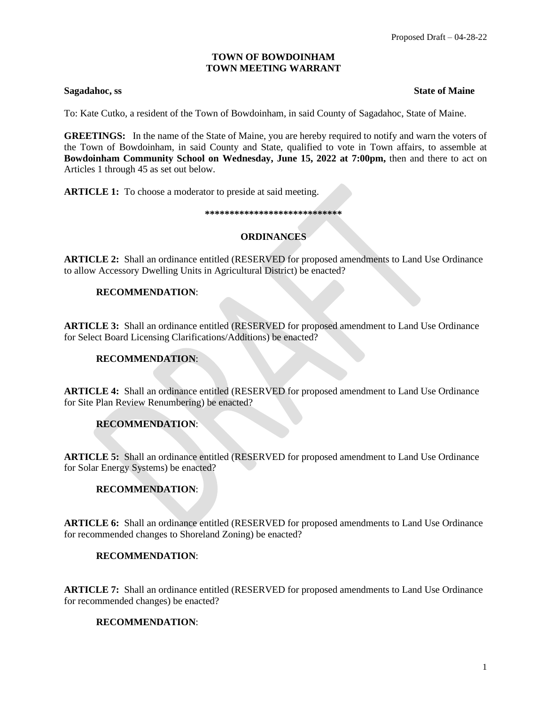## **TOWN OF BOWDOINHAM TOWN MEETING WARRANT**

#### **Sagadahoc, ss State of Maine** State of Maine State of Maine State of Maine State of Maine State of Maine State of Maine State of Maine State of Maine State of Maine State of Maine State of Maine State of Maine State of Ma

To: Kate Cutko, a resident of the Town of Bowdoinham, in said County of Sagadahoc, State of Maine.

**GREETINGS:** In the name of the State of Maine, you are hereby required to notify and warn the voters of the Town of Bowdoinham, in said County and State, qualified to vote in Town affairs, to assemble at **Bowdoinham Community School on Wednesday, June 15, 2022 at 7:00pm,** then and there to act on Articles 1 through 45 as set out below.

**ARTICLE 1:** To choose a moderator to preside at said meeting.

#### **\*\*\*\*\*\*\*\*\*\*\*\*\*\*\*\*\*\*\*\*\*\*\*\*\*\*\*\***

# **ORDINANCES**

**ARTICLE 2:** Shall an ordinance entitled (RESERVED for proposed amendments to Land Use Ordinance to allow Accessory Dwelling Units in Agricultural District) be enacted?

## **RECOMMENDATION**:

**ARTICLE 3:** Shall an ordinance entitled (RESERVED for proposed amendment to Land Use Ordinance for Select Board Licensing Clarifications/Additions) be enacted?

# **RECOMMENDATION**:

**ARTICLE 4:** Shall an ordinance entitled (RESERVED for proposed amendment to Land Use Ordinance for Site Plan Review Renumbering) be enacted?

# **RECOMMENDATION**:

**ARTICLE 5:** Shall an ordinance entitled (RESERVED for proposed amendment to Land Use Ordinance for Solar Energy Systems) be enacted?

# **RECOMMENDATION**:

**ARTICLE 6:** Shall an ordinance entitled (RESERVED for proposed amendments to Land Use Ordinance for recommended changes to Shoreland Zoning) be enacted?

## **RECOMMENDATION**:

**ARTICLE 7:** Shall an ordinance entitled (RESERVED for proposed amendments to Land Use Ordinance for recommended changes) be enacted?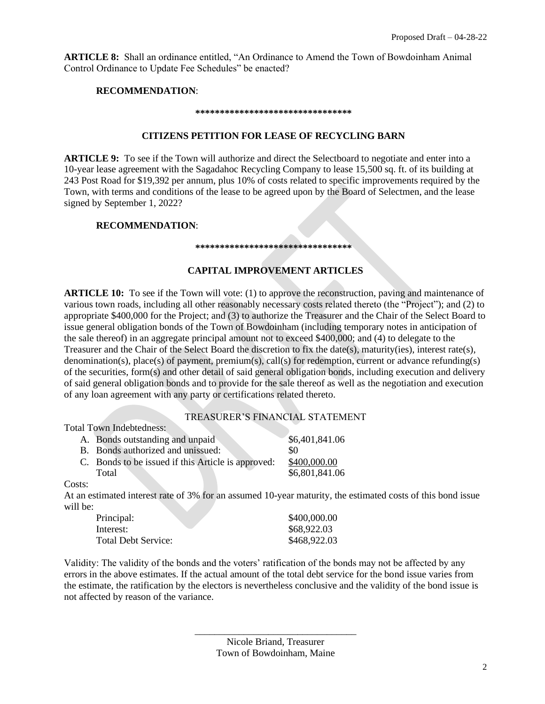**ARTICLE 8:** Shall an ordinance entitled, "An Ordinance to Amend the Town of Bowdoinham Animal Control Ordinance to Update Fee Schedules" be enacted?

#### **RECOMMENDATION**:

#### **\*\*\*\*\*\*\*\*\*\*\*\*\*\*\*\*\*\*\*\*\*\*\*\*\*\*\*\*\*\*\*\***

#### **CITIZENS PETITION FOR LEASE OF RECYCLING BARN**

**ARTICLE 9:** To see if the Town will authorize and direct the Selectboard to negotiate and enter into a 10-year lease agreement with the Sagadahoc Recycling Company to lease 15,500 sq. ft. of its building at 243 Post Road for \$19,392 per annum, plus 10% of costs related to specific improvements required by the Town, with terms and conditions of the lease to be agreed upon by the Board of Selectmen, and the lease signed by September 1, 2022?

## **RECOMMENDATION**:

#### **\*\*\*\*\*\*\*\*\*\*\*\*\*\*\*\*\*\*\*\*\*\*\*\*\*\*\*\*\*\*\*\***

# **CAPITAL IMPROVEMENT ARTICLES**

**ARTICLE 10:** To see if the Town will vote: (1) to approve the reconstruction, paving and maintenance of various town roads, including all other reasonably necessary costs related thereto (the "Project"); and (2) to appropriate \$400,000 for the Project; and (3) to authorize the Treasurer and the Chair of the Select Board to issue general obligation bonds of the Town of Bowdoinham (including temporary notes in anticipation of the sale thereof) in an aggregate principal amount not to exceed \$400,000; and (4) to delegate to the Treasurer and the Chair of the Select Board the discretion to fix the date(s), maturity(ies), interest rate(s), denomination(s), place(s) of payment, premium(s), call(s) for redemption, current or advance refunding(s) of the securities, form(s) and other detail of said general obligation bonds, including execution and delivery of said general obligation bonds and to provide for the sale thereof as well as the negotiation and execution of any loan agreement with any party or certifications related thereto.

## TREASURER'S FINANCIAL STATEMENT

Total Town Indebtedness:

| A. Bonds outstanding and unpaid                    | \$6,401,841.06 |
|----------------------------------------------------|----------------|
| <b>B.</b> Bonds authorized and unissued:           | -80            |
| C. Bonds to be issued if this Article is approved: | \$400,000.00   |
| Total                                              | \$6,801,841.06 |

Costs:

At an estimated interest rate of 3% for an assumed 10-year maturity, the estimated costs of this bond issue will be:

| Principal:                 | \$400,000.00 |
|----------------------------|--------------|
| Interest:                  | \$68,922.03  |
| <b>Total Debt Service:</b> | \$468,922.03 |

Validity: The validity of the bonds and the voters' ratification of the bonds may not be affected by any errors in the above estimates. If the actual amount of the total debt service for the bond issue varies from the estimate, the ratification by the electors is nevertheless conclusive and the validity of the bond issue is not affected by reason of the variance.

> \_\_\_\_\_\_\_\_\_\_\_\_\_\_\_\_\_\_\_\_\_\_\_\_\_\_\_\_\_\_\_\_\_ Nicole Briand, Treasurer Town of Bowdoinham, Maine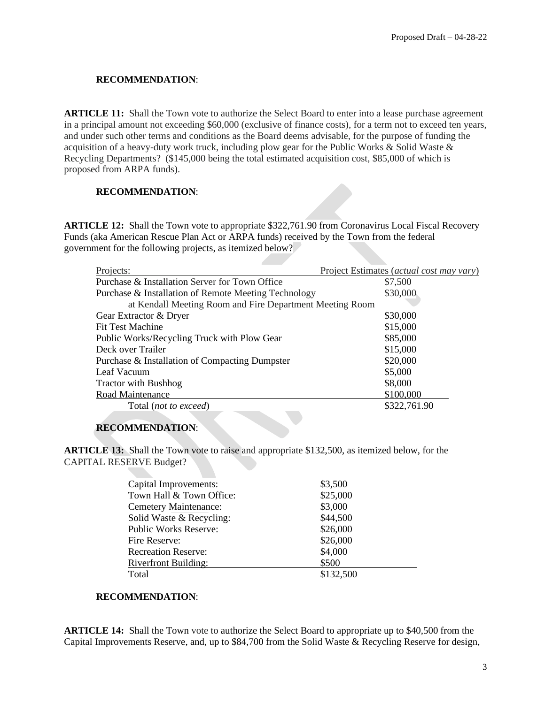## **RECOMMENDATION**:

**ARTICLE 11:** Shall the Town vote to authorize the Select Board to enter into a lease purchase agreement in a principal amount not exceeding \$60,000 (exclusive of finance costs), for a term not to exceed ten years, and under such other terms and conditions as the Board deems advisable, for the purpose of funding the acquisition of a heavy-duty work truck, including plow gear for the Public Works & Solid Waste & Recycling Departments? (\$145,000 being the total estimated acquisition cost, \$85,000 of which is proposed from ARPA funds).

# **RECOMMENDATION**:

**ARTICLE 12:** Shall the Town vote to appropriate \$322,761.90 from Coronavirus Local Fiscal Recovery Funds (aka American Rescue Plan Act or ARPA funds) received by the Town from the federal government for the following projects, as itemized below?

| Projects:                                                | Project Estimates (actual cost may vary) |
|----------------------------------------------------------|------------------------------------------|
| Purchase & Installation Server for Town Office           | \$7,500                                  |
| Purchase & Installation of Remote Meeting Technology     | \$30,000                                 |
| at Kendall Meeting Room and Fire Department Meeting Room |                                          |
| Gear Extractor & Dryer                                   | \$30,000                                 |
| <b>Fit Test Machine</b>                                  | \$15,000                                 |
| Public Works/Recycling Truck with Plow Gear              | \$85,000                                 |
| Deck over Trailer                                        | \$15,000                                 |
| Purchase & Installation of Compacting Dumpster           | \$20,000                                 |
| Leaf Vacuum                                              | \$5,000                                  |
| <b>Tractor with Bushhog</b>                              | \$8,000                                  |
| Road Maintenance                                         | \$100,000                                |
| Total ( <i>not to exceed</i> )                           | \$322,761.90                             |
|                                                          |                                          |

# **RECOMMENDATION**:

**ARTICLE 13:** Shall the Town vote to raise and appropriate \$132,500, as itemized below, for the CAPITAL RESERVE Budget?

| Capital Improvements:        | \$3,500   |  |
|------------------------------|-----------|--|
| Town Hall & Town Office:     | \$25,000  |  |
| <b>Cemetery Maintenance:</b> | \$3,000   |  |
| Solid Waste & Recycling:     | \$44,500  |  |
| <b>Public Works Reserve:</b> | \$26,000  |  |
| Fire Reserve:                | \$26,000  |  |
| <b>Recreation Reserve:</b>   | \$4,000   |  |
| <b>Riverfront Building:</b>  | \$500     |  |
| Total                        | \$132,500 |  |
|                              |           |  |

# **RECOMMENDATION**:

**ARTICLE 14:** Shall the Town vote to authorize the Select Board to appropriate up to \$40,500 from the Capital Improvements Reserve, and, up to \$84,700 from the Solid Waste & Recycling Reserve for design,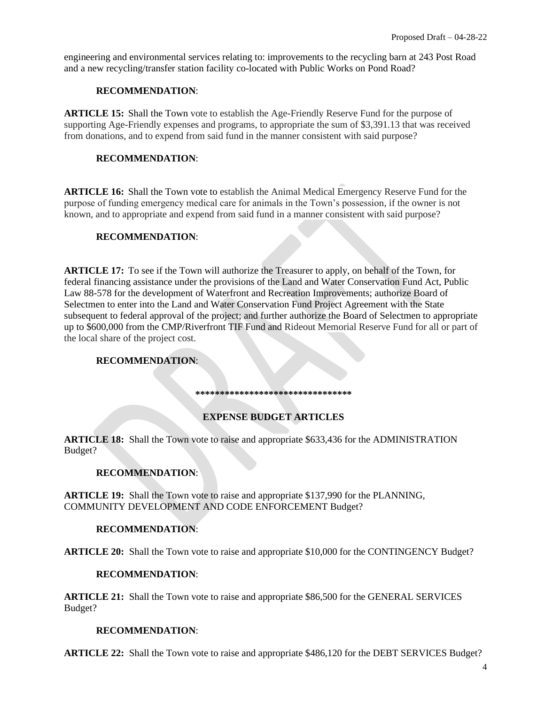engineering and environmental services relating to: improvements to the recycling barn at 243 Post Road and a new recycling/transfer station facility co-located with Public Works on Pond Road?

#### **RECOMMENDATION**:

**ARTICLE 15:** Shall the Town vote to establish the Age-Friendly Reserve Fund for the purpose of supporting Age-Friendly expenses and programs, to appropriate the sum of \$3,391.13 that was received from donations, and to expend from said fund in the manner consistent with said purpose?

#### **RECOMMENDATION**:

**ARTICLE 16:** Shall the Town vote to establish the Animal Medical Emergency Reserve Fund for the purpose of funding emergency medical care for animals in the Town's possession, if the owner is not known, and to appropriate and expend from said fund in a manner consistent with said purpose?

#### **RECOMMENDATION**:

**ARTICLE 17:** To see if the Town will authorize the Treasurer to apply, on behalf of the Town, for federal financing assistance under the provisions of the Land and Water Conservation Fund Act, Public Law 88-578 for the development of Waterfront and Recreation Improvements; authorize Board of Selectmen to enter into the Land and Water Conservation Fund Project Agreement with the State subsequent to federal approval of the project; and further authorize the Board of Selectmen to appropriate up to \$600,000 from the CMP/Riverfront TIF Fund and Rideout Memorial Reserve Fund for all or part of the local share of the project cost.

## **RECOMMENDATION**:

**\*\*\*\*\*\*\*\*\*\*\*\*\*\*\*\*\*\*\*\*\*\*\*\*\*\*\*\*\*\*\*\***

## **EXPENSE BUDGET ARTICLES**

**ARTICLE 18:** Shall the Town vote to raise and appropriate \$633,436 for the ADMINISTRATION Budget?

# **RECOMMENDATION**:

**ARTICLE 19:** Shall the Town vote to raise and appropriate \$137,990 for the PLANNING, COMMUNITY DEVELOPMENT AND CODE ENFORCEMENT Budget?

#### **RECOMMENDATION**:

**ARTICLE 20:** Shall the Town vote to raise and appropriate \$10,000 for the CONTINGENCY Budget?

## **RECOMMENDATION**:

**ARTICLE 21:** Shall the Town vote to raise and appropriate \$86,500 for the GENERAL SERVICES Budget?

#### **RECOMMENDATION**:

**ARTICLE 22:** Shall the Town vote to raise and appropriate \$486,120 for the DEBT SERVICES Budget?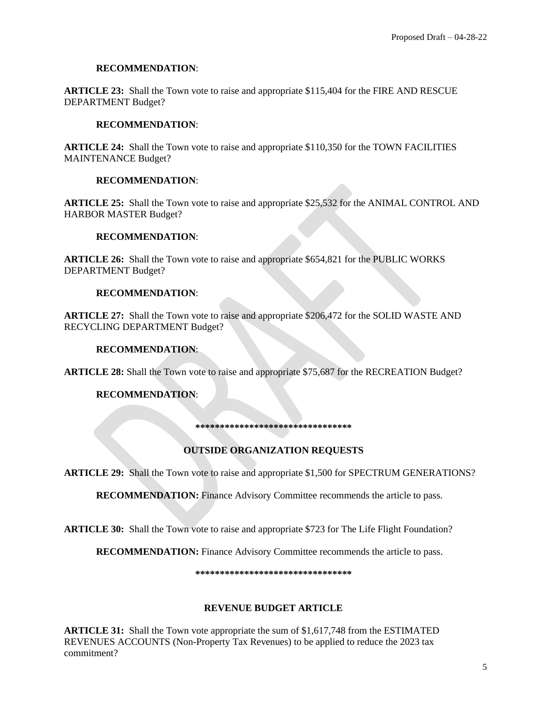## **RECOMMENDATION**:

**ARTICLE 23:** Shall the Town vote to raise and appropriate \$115,404 for the FIRE AND RESCUE DEPARTMENT Budget?

## **RECOMMENDATION**:

**ARTICLE 24:** Shall the Town vote to raise and appropriate \$110,350 for the TOWN FACILITIES MAINTENANCE Budget?

#### **RECOMMENDATION**:

**ARTICLE 25:** Shall the Town vote to raise and appropriate \$25,532 for the ANIMAL CONTROL AND HARBOR MASTER Budget?

#### **RECOMMENDATION**:

**ARTICLE 26:** Shall the Town vote to raise and appropriate \$654,821 for the PUBLIC WORKS DEPARTMENT Budget?

#### **RECOMMENDATION**:

**ARTICLE 27:** Shall the Town vote to raise and appropriate \$206,472 for the SOLID WASTE AND RECYCLING DEPARTMENT Budget?

#### **RECOMMENDATION**:

**ARTICLE 28:** Shall the Town vote to raise and appropriate \$75,687 for the RECREATION Budget?

## **RECOMMENDATION**:

**\*\*\*\*\*\*\*\*\*\*\*\*\*\*\*\*\*\*\*\*\*\*\*\*\*\*\*\*\*\*\*\***

## **OUTSIDE ORGANIZATION REQUESTS**

**ARTICLE 29:** Shall the Town vote to raise and appropriate \$1,500 for SPECTRUM GENERATIONS?

**RECOMMENDATION:** Finance Advisory Committee recommends the article to pass.

**ARTICLE 30:** Shall the Town vote to raise and appropriate \$723 for The Life Flight Foundation?

**RECOMMENDATION:** Finance Advisory Committee recommends the article to pass.

**\*\*\*\*\*\*\*\*\*\*\*\*\*\*\*\*\*\*\*\*\*\*\*\*\*\*\*\*\*\*\*\***

## **REVENUE BUDGET ARTICLE**

**ARTICLE 31:** Shall the Town vote appropriate the sum of \$1,617,748 from the ESTIMATED REVENUES ACCOUNTS (Non-Property Tax Revenues) to be applied to reduce the 2023 tax commitment?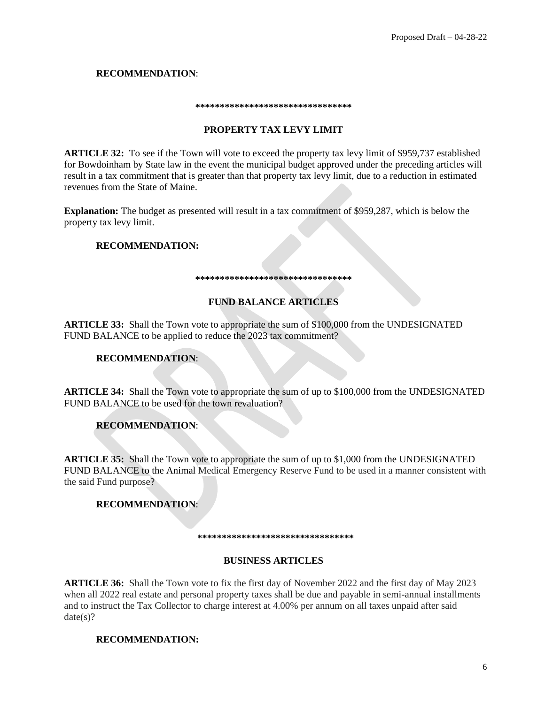# **RECOMMENDATION**:

#### **\*\*\*\*\*\*\*\*\*\*\*\*\*\*\*\*\*\*\*\*\*\*\*\*\*\*\*\*\*\*\*\***

## **PROPERTY TAX LEVY LIMIT**

**ARTICLE 32:** To see if the Town will vote to exceed the property tax levy limit of \$959,737 established for Bowdoinham by State law in the event the municipal budget approved under the preceding articles will result in a tax commitment that is greater than that property tax levy limit, due to a reduction in estimated revenues from the State of Maine.

**Explanation:** The budget as presented will result in a tax commitment of \$959,287, which is below the property tax levy limit.

# **RECOMMENDATION:**

#### **\*\*\*\*\*\*\*\*\*\*\*\*\*\*\*\*\*\*\*\*\*\*\*\*\*\*\*\*\*\*\*\***

#### **FUND BALANCE ARTICLES**

**ARTICLE 33:** Shall the Town vote to appropriate the sum of \$100,000 from the UNDESIGNATED FUND BALANCE to be applied to reduce the 2023 tax commitment?

## **RECOMMENDATION**:

**ARTICLE 34:** Shall the Town vote to appropriate the sum of up to \$100,000 from the UNDESIGNATED FUND BALANCE to be used for the town revaluation?

# **RECOMMENDATION**:

**ARTICLE 35:** Shall the Town vote to appropriate the sum of up to \$1,000 from the UNDESIGNATED FUND BALANCE to the Animal Medical Emergency Reserve Fund to be used in a manner consistent with the said Fund purpose?

# **RECOMMENDATION**:

**\*\*\*\*\*\*\*\*\*\*\*\*\*\*\*\*\*\*\*\*\*\*\*\*\*\*\*\*\*\*\*\***

## **BUSINESS ARTICLES**

**ARTICLE 36:** Shall the Town vote to fix the first day of November 2022 and the first day of May 2023 when all 2022 real estate and personal property taxes shall be due and payable in semi-annual installments and to instruct the Tax Collector to charge interest at 4.00% per annum on all taxes unpaid after said  $date(s)?$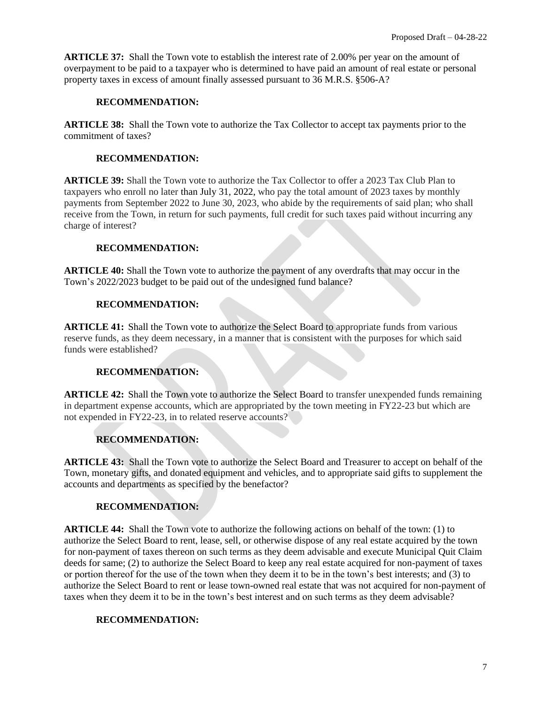**ARTICLE 37:** Shall the Town vote to establish the interest rate of 2.00% per year on the amount of overpayment to be paid to a taxpayer who is determined to have paid an amount of real estate or personal property taxes in excess of amount finally assessed pursuant to 36 M.R.S. §506-A?

# **RECOMMENDATION:**

**ARTICLE 38:** Shall the Town vote to authorize the Tax Collector to accept tax payments prior to the commitment of taxes?

# **RECOMMENDATION:**

**ARTICLE 39:** Shall the Town vote to authorize the Tax Collector to offer a 2023 Tax Club Plan to taxpayers who enroll no later than July 31, 2022, who pay the total amount of 2023 taxes by monthly payments from September 2022 to June 30, 2023, who abide by the requirements of said plan; who shall receive from the Town, in return for such payments, full credit for such taxes paid without incurring any charge of interest?

# **RECOMMENDATION:**

**ARTICLE 40:** Shall the Town vote to authorize the payment of any overdrafts that may occur in the Town's 2022/2023 budget to be paid out of the undesigned fund balance?

# **RECOMMENDATION:**

**ARTICLE 41:** Shall the Town vote to authorize the Select Board to appropriate funds from various reserve funds, as they deem necessary, in a manner that is consistent with the purposes for which said funds were established?

# **RECOMMENDATION:**

**ARTICLE 42:** Shall the Town vote to authorize the Select Board to transfer unexpended funds remaining in department expense accounts, which are appropriated by the town meeting in FY22-23 but which are not expended in FY22-23, in to related reserve accounts?

# **RECOMMENDATION:**

**ARTICLE 43:** Shall the Town vote to authorize the Select Board and Treasurer to accept on behalf of the Town, monetary gifts, and donated equipment and vehicles, and to appropriate said gifts to supplement the accounts and departments as specified by the benefactor?

# **RECOMMENDATION:**

**ARTICLE 44:** Shall the Town vote to authorize the following actions on behalf of the town: (1) to authorize the Select Board to rent, lease, sell, or otherwise dispose of any real estate acquired by the town for non-payment of taxes thereon on such terms as they deem advisable and execute Municipal Quit Claim deeds for same; (2) to authorize the Select Board to keep any real estate acquired for non-payment of taxes or portion thereof for the use of the town when they deem it to be in the town's best interests; and (3) to authorize the Select Board to rent or lease town-owned real estate that was not acquired for non-payment of taxes when they deem it to be in the town's best interest and on such terms as they deem advisable?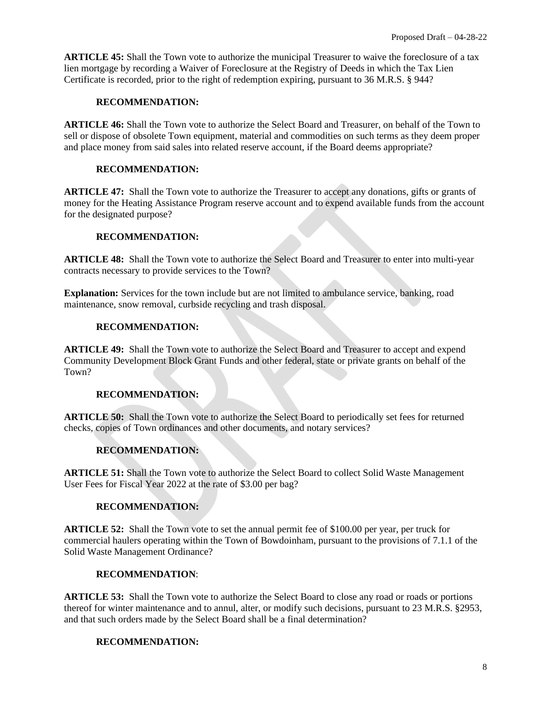**ARTICLE 45:** Shall the Town vote to authorize the municipal Treasurer to waive the foreclosure of a tax lien mortgage by recording a Waiver of Foreclosure at the Registry of Deeds in which the Tax Lien Certificate is recorded, prior to the right of redemption expiring, pursuant to 36 M.R.S. § 944?

# **RECOMMENDATION:**

**ARTICLE 46:** Shall the Town vote to authorize the Select Board and Treasurer, on behalf of the Town to sell or dispose of obsolete Town equipment, material and commodities on such terms as they deem proper and place money from said sales into related reserve account, if the Board deems appropriate?

# **RECOMMENDATION:**

**ARTICLE 47:** Shall the Town vote to authorize the Treasurer to accept any donations, gifts or grants of money for the Heating Assistance Program reserve account and to expend available funds from the account for the designated purpose?

# **RECOMMENDATION:**

**ARTICLE 48:** Shall the Town vote to authorize the Select Board and Treasurer to enter into multi-year contracts necessary to provide services to the Town?

**Explanation:** Services for the town include but are not limited to ambulance service, banking, road maintenance, snow removal, curbside recycling and trash disposal.

## **RECOMMENDATION:**

**ARTICLE 49:** Shall the Town vote to authorize the Select Board and Treasurer to accept and expend Community Development Block Grant Funds and other federal, state or private grants on behalf of the Town?

# **RECOMMENDATION:**

**ARTICLE 50:** Shall the Town vote to authorize the Select Board to periodically set fees for returned checks, copies of Town ordinances and other documents, and notary services?

# **RECOMMENDATION:**

**ARTICLE 51:** Shall the Town vote to authorize the Select Board to collect Solid Waste Management User Fees for Fiscal Year 2022 at the rate of \$3.00 per bag?

# **RECOMMENDATION:**

**ARTICLE 52:** Shall the Town vote to set the annual permit fee of \$100.00 per year, per truck for commercial haulers operating within the Town of Bowdoinham, pursuant to the provisions of 7.1.1 of the Solid Waste Management Ordinance?

## **RECOMMENDATION**:

**ARTICLE 53:** Shall the Town vote to authorize the Select Board to close any road or roads or portions thereof for winter maintenance and to annul, alter, or modify such decisions, pursuant to 23 M.R.S. §2953, and that such orders made by the Select Board shall be a final determination?